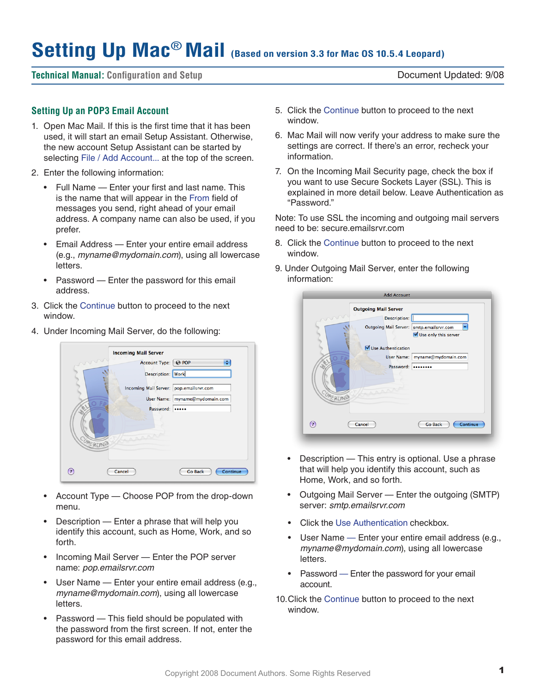# **Setting Up Mac**® **Mail (Based on version 3.3 for Mac OS 10.5.4 Leopard)**

# **Technical Manual: Configuration and Setup** Document Updated: 9/08

# **Setting Up an POP3 Email Account**

- 1. Open Mac Mail. If this is the first time that it has been used, it will start an email Setup Assistant. Otherwise, the new account Setup Assistant can be started by selecting File / Add Account... at the top of the screen.
- 2. Enter the following information:
	- • Full Name Enter your first and last name. This is the name that will appear in the From field of messages you send, right ahead of your email address. A company name can also be used, if you prefer.
	- Email Address Enter your entire email address (e.g., *myname@mydomain.com*), using all lowercase letters.
	- Password Enter the password for this email address.
- 3. Click the Continue button to proceed to the next window.
- 4. Under Incoming Mail Server, do the following:



- Account Type Choose POP from the drop-down menu.
- Description  $-$  Enter a phrase that will help you identify this account, such as Home, Work, and so forth.
- Incoming Mail Server Enter the POP server name: *pop.emailsrvr.com*
- User Name Enter your entire email address (e.g., *myname@mydomain.com*), using all lowercase letters.
- Password This field should be populated with the password from the first screen. If not, enter the password for this email address.
- 5. Click the Continue button to proceed to the next window.
- 6. Mac Mail will now verify your address to make sure the settings are correct. If there's an error, recheck your information.
- 7. On the Incoming Mail Security page, check the box if you want to use Secure Sockets Layer (SSL). This is explained in more detail below. Leave Authentication as "Password."

Note: To use SSL the incoming and outgoing mail servers need to be: secure.emailsrvr.com

- 8. Click the Continue button to proceed to the next window.
- 9. Under Outgoing Mail Server, enter the following information:



- Description This entry is optional. Use a phrase that will help you identify this account, such as Home, Work, and so forth.
- Outgoing Mail Server Enter the outgoing (SMTP) server: *smtp.emailsrvr.com*
- **Click the Use Authentication checkbox.**
- User Name Enter your entire email address (e.g., *myname@mydomain.com*), using all lowercase letters.
- Password Enter the password for your email account.
- 10. Click the Continue button to proceed to the next window.